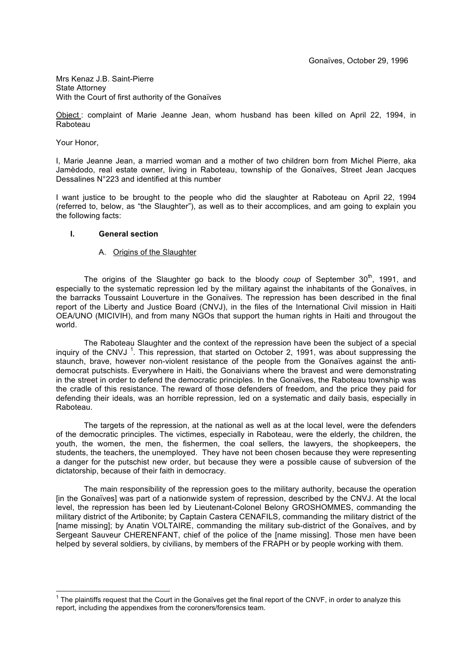Mrs Kenaz J.B. Saint-Pierre State Attorney With the Court of first authority of the Gonaïves

Object : complaint of Marie Jeanne Jean, whom husband has been killed on April 22, 1994, in Raboteau

Your Honor,

I, Marie Jeanne Jean, a married woman and a mother of two children born from Michel Pierre, aka Jamèdodo, real estate owner, living in Raboteau, township of the Gonaïves, Street Jean Jacques Dessalines N°223 and identified at this number

I want justice to be brought to the people who did the slaughter at Raboteau on April 22, 1994 (referred to, below, as "the Slaughter"), as well as to their accomplices, and am going to explain you the following facts:

# **I. General section**

# A. Origins of the Slaughter

The origins of the Slaughter go back to the bloody *coup* of September 30<sup>th</sup>, 1991, and especially to the systematic repression led by the military against the inhabitants of the Gonaïves, in the barracks Toussaint Louverture in the Gonaïves. The repression has been described in the final report of the Liberty and Justice Board (CNVJ), in the files of the International Civil mission in Haiti OEA/UNO (MICIVIH), and from many NGOs that support the human rights in Haiti and througout the world.

The Raboteau Slaughter and the context of the repression have been the subject of a special inquiry of the CNVJ<sup>1</sup>. This repression, that started on October 2, 1991, was about suppressing the staunch, brave, however non-violent resistance of the people from the Gonaïves against the antidemocrat putschists. Everywhere in Haiti, the Gonaivians where the bravest and were demonstrating in the street in order to defend the democratic principles. In the Gonaïves, the Raboteau township was the cradle of this resistance. The reward of those defenders of freedom, and the price they paid for defending their ideals, was an horrible repression, led on a systematic and daily basis, especially in Raboteau.

The targets of the repression, at the national as well as at the local level, were the defenders of the democratic principles. The victimes, especially in Raboteau, were the elderly, the children, the youth, the women, the men, the fishermen, the coal sellers, the lawyers, the shopkeepers, the students, the teachers, the unemployed. They have not been chosen because they were representing a danger for the putschist new order, but because they were a possible cause of subversion of the dictatorship, because of their faith in democracy.

The main responsibility of the repression goes to the military authority, because the operation [in the Gonaïves] was part of a nationwide system of repression, described by the CNVJ. At the local level, the repression has been led by Lieutenant-Colonel Belony GROSHOMMES, commanding the military district of the Artibonite; by Captain Castera CENAFILS, commanding the military district of the [name missing]; by Anatin VOLTAIRE, commanding the military sub-district of the Gonaïves, and by Sergeant Sauveur CHERENFANT, chief of the police of the [name missing]. Those men have been helped by several soldiers, by civilians, by members of the FRAPH or by people working with them.

 $\frac{1}{1}$  $1$  The plaintiffs request that the Court in the Gonaïves get the final report of the CNVF, in order to analyze this report, including the appendixes from the coroners/forensics team.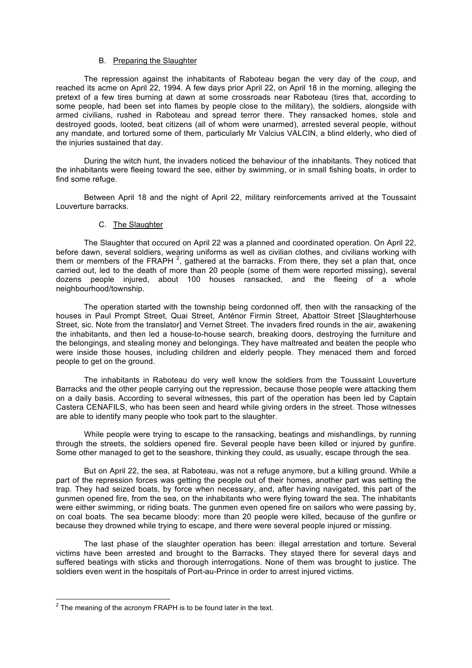### B. Preparing the Slaughter

The repression against the inhabitants of Raboteau began the very day of the *coup*, and reached its acme on April 22, 1994. A few days prior April 22, on April 18 in the morning, alleging the pretext of a few tires burning at dawn at some crossroads near Raboteau (tires that, according to some people, had been set into flames by people close to the military), the soldiers, alongside with armed civilians, rushed in Raboteau and spread terror there. They ransacked homes, stole and destroyed goods, looted, beat citizens (all of whom were unarmed), arrested several people, without any mandate, and tortured some of them, particularly Mr Valcius VALCIN, a blind elderly, who died of the injuries sustained that day.

During the witch hunt, the invaders noticed the behaviour of the inhabitants. They noticed that the inhabitants were fleeing toward the see, either by swimming, or in small fishing boats, in order to find some refuge.

Between April 18 and the night of April 22, military reinforcements arrived at the Toussaint Louverture barracks.

### C. The Slaughter

The Slaughter that occured on April 22 was a planned and coordinated operation. On April 22, before dawn, several soldiers, wearing uniforms as well as civilian clothes, and civilians working with them or members of the FRAPH<sup>2</sup>, gathered at the barracks. From there, they set a plan that, once carried out, led to the death of more than 20 people (some of them were reported missing), several dozens people injured, about 100 houses ransacked, and the fleeing of a whole neighbourhood/township.

The operation started with the township being cordonned off, then with the ransacking of the houses in Paul Prompt Street, Quai Street, Anténor Firmin Street, Abattoir Street [Slaughterhouse Street, sic. Note from the translator] and Vernet Street. The invaders fired rounds in the air, awakening the inhabitants, and then led a house-to-house search, breaking doors, destroying the furniture and the belongings, and stealing money and belongings. They have maltreated and beaten the people who were inside those houses, including children and elderly people. They menaced them and forced people to get on the ground.

The inhabitants in Raboteau do very well know the soldiers from the Toussaint Louverture Barracks and the other people carrying out the repression, because those people were attacking them on a daily basis. According to several witnesses, this part of the operation has been led by Captain Castera CENAFILS, who has been seen and heard while giving orders in the street. Those witnesses are able to identify many people who took part to the slaughter.

While people were trying to escape to the ransacking, beatings and mishandlings, by running through the streets, the soldiers opened fire. Several people have been killed or injured by gunfire. Some other managed to get to the seashore, thinking they could, as usually, escape through the sea.

But on April 22, the sea, at Raboteau, was not a refuge anymore, but a killing ground. While a part of the repression forces was getting the people out of their homes, another part was setting the trap. They had seized boats, by force when necessary, and, after having navigated, this part of the gunmen opened fire, from the sea, on the inhabitants who were flying toward the sea. The inhabitants were either swimming, or riding boats. The gunmen even opened fire on sailors who were passing by, on coal boats. The sea became bloody: more than 20 people were killed, because of the gunfire or because they drowned while trying to escape, and there were several people injured or missing.

The last phase of the slaughter operation has been: illegal arrestation and torture. Several victims have been arrested and brought to the Barracks. They stayed there for several days and suffered beatings with sticks and thorough interrogations. None of them was brought to justice. The soldiers even went in the hospitals of Port-au-Prince in order to arrest injured victims.

 $\frac{1}{2}$  $2$  The meaning of the acronym FRAPH is to be found later in the text.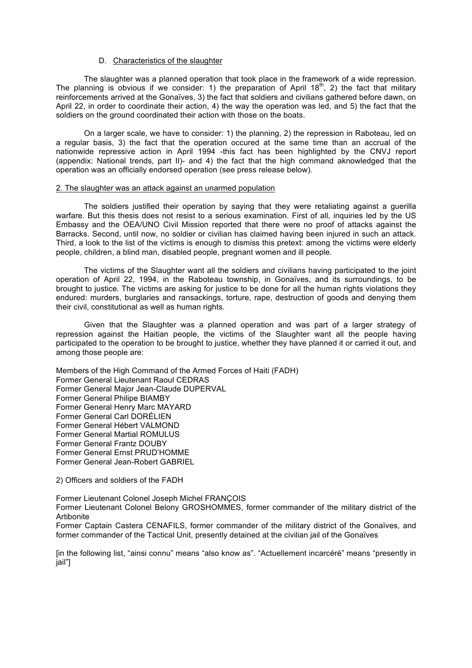### D. Characteristics of the slaughter

The slaughter was a planned operation that took place in the framework of a wide repression. The planning is obvious if we consider: 1) the preparation of April  $18<sup>th</sup>$ , 2) the fact that military reinforcements arrived at the Gonaïves, 3) the fact that soldiers and civilians gathered before dawn, on April 22, in order to coordinate their action, 4) the way the operation was led, and 5) the fact that the soldiers on the ground coordinated their action with those on the boats.

On a larger scale, we have to consider: 1) the planning, 2) the repression in Raboteau, led on a regular basis, 3) the fact that the operation occured at the same time than an accrual of the nationwide repressive action in April 1994 -this fact has been highlighted by the CNVJ report (appendix: National trends, part II)- and 4) the fact that the high command aknowledged that the operation was an officially endorsed operation (see press release below).

#### 2. The slaughter was an attack against an unarmed population

The soldiers justified their operation by saying that they were retaliating against a guerilla warfare. But this thesis does not resist to a serious examination. First of all, inquiries led by the US Embassy and the OEA/UNO Civil Mission reported that there were no proof of attacks against the Barracks. Second, until now, no soldier or civilian has claimed having been injured in such an attack. Third, a look to the list of the victims is enough to dismiss this pretext: among the victims were elderly people, children, a blind man, disabled people, pregnant women and ill people.

The victims of the Slaughter want all the soldiers and civilians having participated to the joint operation of April 22, 1994, in the Raboteau township, in Gonaïves, and its surroundings, to be brought to justice. The victims are asking for justice to be done for all the human rights violations they endured: murders, burglaries and ransackings, torture, rape, destruction of goods and denying them their civil, constitutional as well as human rights.

Given that the Slaughter was a planned operation and was part of a larger strategy of repression against the Haitian people, the victims of the Slaughter want all the people having participated to the operation to be brought to justice, whether they have planned it or carried it out, and among those people are:

Members of the High Command of the Armed Forces of Haiti (FADH) Former General Lieutenant Raoul CEDRAS Former General Major Jean-Claude DUPERVAL Former General Philipe BIAMBY Former General Henry Marc MAYARD Former General Carl DORÉLIEN Former General Hébert VALMOND Former General Martial ROMULUS Former General Frantz DOUBY Former General Ernst PRUD'HOMME Former General Jean-Robert GABRIEL

#### 2) Officers and soldiers of the FADH

Former Lieutenant Colonel Joseph Michel FRANÇOIS Former Lieutenant Colonel Belony GROSHOMMES, former commander of the military district of the **Artibonite** 

Former Captain Castera CENAFILS, former commander of the military district of the Gonaïves, and former commander of the Tactical Unit, presently detained at the civilian jail of the Gonaïves

[in the following list, "ainsi connu" means "also know as". "Actuellement incarcéré" means "presently in jail"]